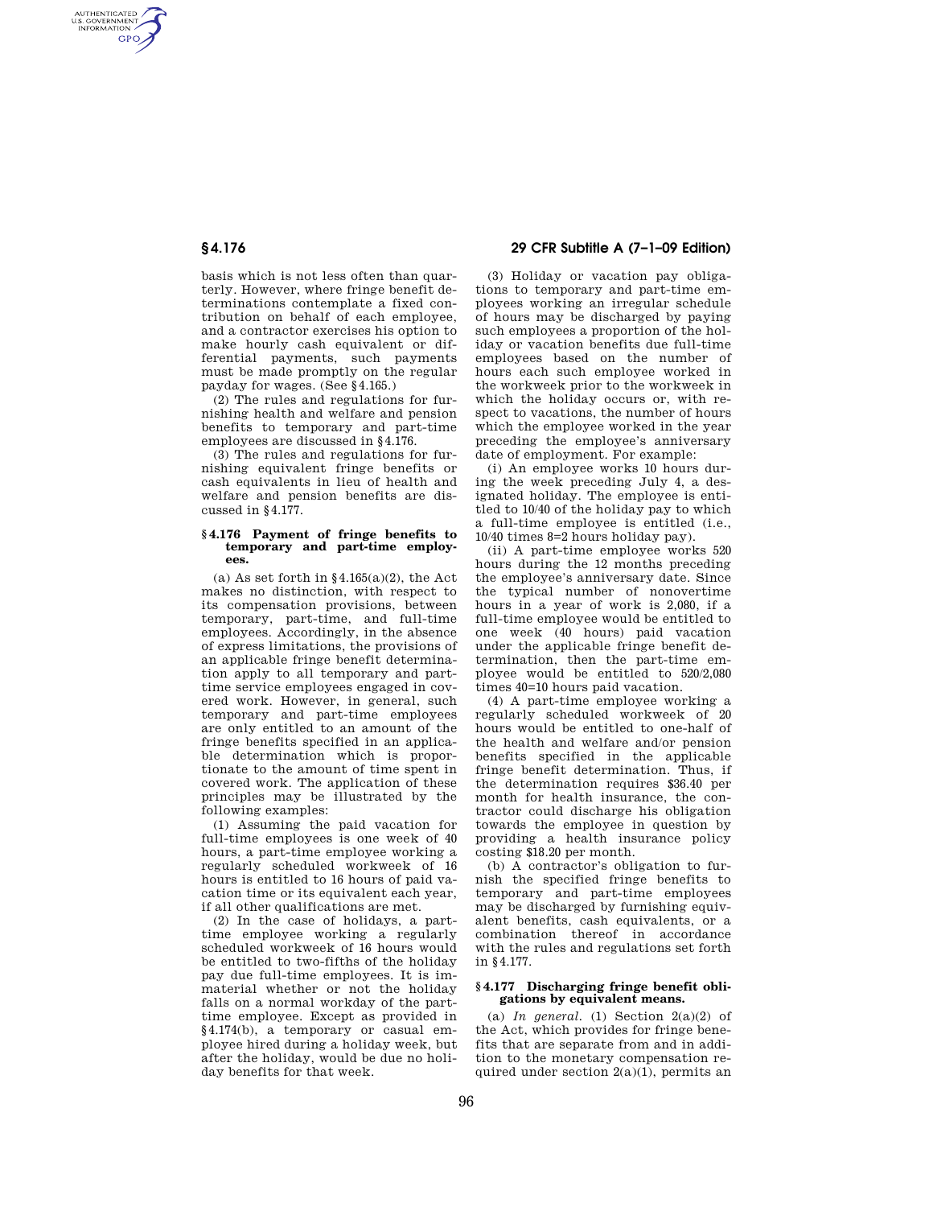AUTHENTICATED<br>U.S. GOVERNMENT<br>INFORMATION **GPO** 

> basis which is not less often than quarterly. However, where fringe benefit determinations contemplate a fixed contribution on behalf of each employee, and a contractor exercises his option to make hourly cash equivalent or differential payments, such payments must be made promptly on the regular payday for wages. (See §4.165.)

> (2) The rules and regulations for furnishing health and welfare and pension benefits to temporary and part-time employees are discussed in §4.176.

> (3) The rules and regulations for furnishing equivalent fringe benefits or cash equivalents in lieu of health and welfare and pension benefits are discussed in §4.177.

#### **§ 4.176 Payment of fringe benefits to temporary and part-time employees.**

(a) As set forth in  $§4.165(a)(2)$ , the Act makes no distinction, with respect to its compensation provisions, between temporary, part-time, and full-time employees. Accordingly, in the absence of express limitations, the provisions of an applicable fringe benefit determination apply to all temporary and parttime service employees engaged in covered work. However, in general, such temporary and part-time employees are only entitled to an amount of the fringe benefits specified in an applicable determination which is proportionate to the amount of time spent in covered work. The application of these principles may be illustrated by the following examples:

(1) Assuming the paid vacation for full-time employees is one week of 40 hours, a part-time employee working a regularly scheduled workweek of 16 hours is entitled to 16 hours of paid vacation time or its equivalent each year, if all other qualifications are met.

(2) In the case of holidays, a parttime employee working a regularly scheduled workweek of 16 hours would be entitled to two-fifths of the holiday pay due full-time employees. It is immaterial whether or not the holiday falls on a normal workday of the parttime employee. Except as provided in §4.174(b), a temporary or casual employee hired during a holiday week, but after the holiday, would be due no holiday benefits for that week.

# **§ 4.176 29 CFR Subtitle A (7–1–09 Edition)**

(3) Holiday or vacation pay obligations to temporary and part-time employees working an irregular schedule of hours may be discharged by paying such employees a proportion of the holiday or vacation benefits due full-time employees based on the number of hours each such employee worked in the workweek prior to the workweek in which the holiday occurs or, with respect to vacations, the number of hours which the employee worked in the year preceding the employee's anniversary date of employment. For example:

(i) An employee works 10 hours during the week preceding July 4, a designated holiday. The employee is entitled to 10/40 of the holiday pay to which a full-time employee is entitled (i.e., 10/40 times 8=2 hours holiday pay).

(ii) A part-time employee works 520 hours during the 12 months preceding the employee's anniversary date. Since the typical number of nonovertime hours in a year of work is 2,080, if a full-time employee would be entitled to one week (40 hours) paid vacation under the applicable fringe benefit determination, then the part-time employee would be entitled to 520/2,080 times 40=10 hours paid vacation.

(4) A part-time employee working a regularly scheduled workweek of 20 hours would be entitled to one-half of the health and welfare and/or pension benefits specified in the applicable fringe benefit determination. Thus, if the determination requires \$36.40 per month for health insurance, the contractor could discharge his obligation towards the employee in question by providing a health insurance policy costing \$18.20 per month.

(b) A contractor's obligation to furnish the specified fringe benefits to temporary and part-time employees may be discharged by furnishing equivalent benefits, cash equivalents, or a combination thereof in accordance with the rules and regulations set forth in §4.177.

#### **§ 4.177 Discharging fringe benefit obligations by equivalent means.**

(a) *In general.* (1) Section  $2(a)(2)$  of the Act, which provides for fringe benefits that are separate from and in addition to the monetary compensation required under section  $2(a)(1)$ , permits an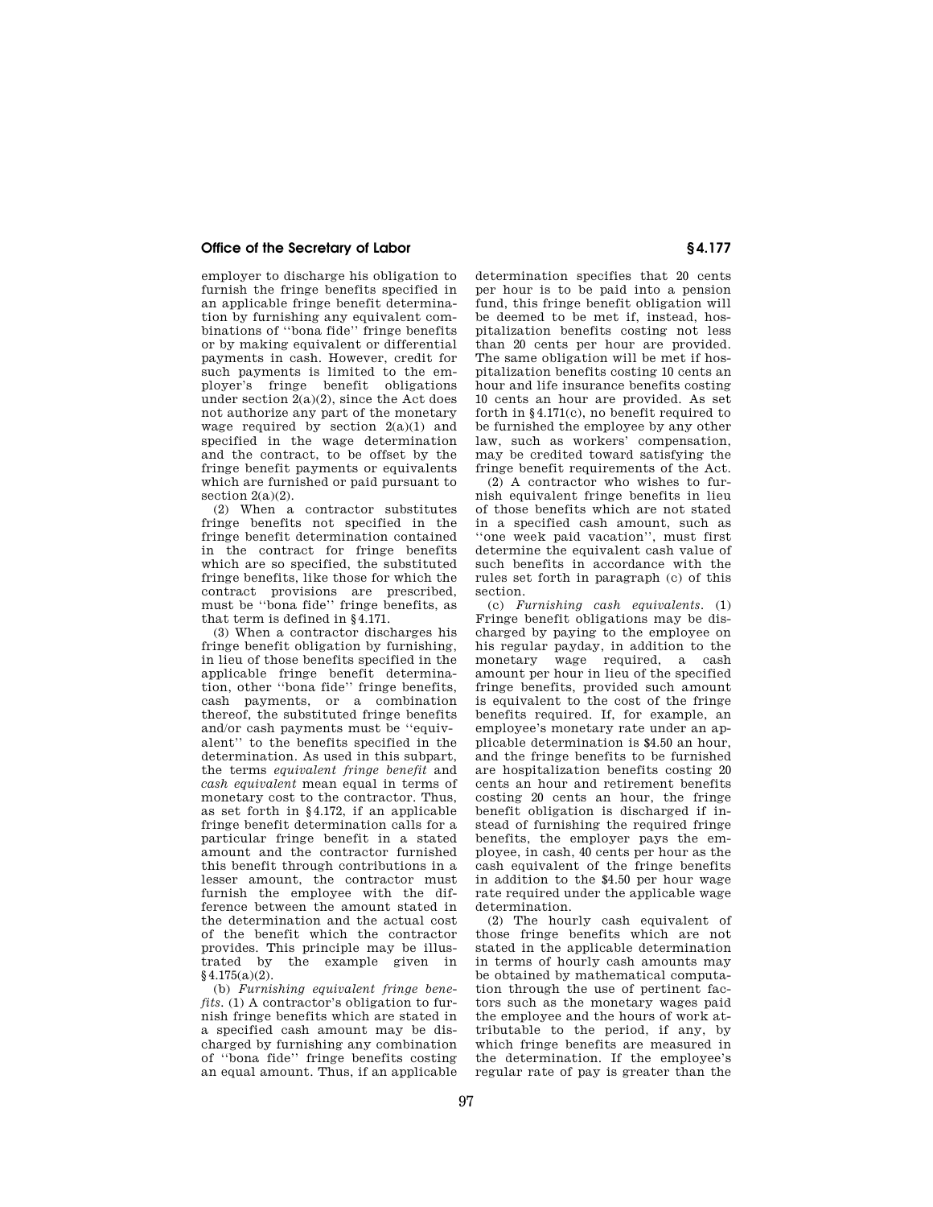## **Office of the Secretary of Labor § 4.177**

employer to discharge his obligation to furnish the fringe benefits specified in an applicable fringe benefit determination by furnishing any equivalent combinations of ''bona fide'' fringe benefits or by making equivalent or differential payments in cash. However, credit for such payments is limited to the employer's fringe benefit obligations under section  $2(a)(2)$ , since the Act does not authorize any part of the monetary wage required by section  $2(a)(1)$  and specified in the wage determination and the contract, to be offset by the fringe benefit payments or equivalents which are furnished or paid pursuant to section  $2(a)(2)$ .

(2) When a contractor substitutes fringe benefits not specified in the fringe benefit determination contained in the contract for fringe benefits which are so specified, the substituted fringe benefits, like those for which the contract provisions are prescribed, must be ''bona fide'' fringe benefits, as that term is defined in §4.171.

(3) When a contractor discharges his fringe benefit obligation by furnishing, in lieu of those benefits specified in the applicable fringe benefit determination, other ''bona fide'' fringe benefits, cash payments, or a combination thereof, the substituted fringe benefits and/or cash payments must be ''equivalent'' to the benefits specified in the determination. As used in this subpart, the terms *equivalent fringe benefit* and *cash equivalent* mean equal in terms of monetary cost to the contractor. Thus, as set forth in §4.172, if an applicable fringe benefit determination calls for a particular fringe benefit in a stated amount and the contractor furnished this benefit through contributions in a lesser amount, the contractor must furnish the employee with the difference between the amount stated in the determination and the actual cost of the benefit which the contractor provides. This principle may be illustrated by the example given in  $§4.175(a)(2).$ 

(b) *Furnishing equivalent fringe benefits.* (1) A contractor's obligation to furnish fringe benefits which are stated in a specified cash amount may be discharged by furnishing any combination of ''bona fide'' fringe benefits costing an equal amount. Thus, if an applicable determination specifies that 20 cents per hour is to be paid into a pension fund, this fringe benefit obligation will be deemed to be met if, instead, hospitalization benefits costing not less than 20 cents per hour are provided. The same obligation will be met if hospitalization benefits costing 10 cents an hour and life insurance benefits costing 10 cents an hour are provided. As set forth in §4.171(c), no benefit required to be furnished the employee by any other law, such as workers' compensation, may be credited toward satisfying the fringe benefit requirements of the Act.

(2) A contractor who wishes to furnish equivalent fringe benefits in lieu of those benefits which are not stated in a specified cash amount, such as ''one week paid vacation'', must first determine the equivalent cash value of such benefits in accordance with the rules set forth in paragraph (c) of this section.

(c) *Furnishing cash equivalents.* (1) Fringe benefit obligations may be discharged by paying to the employee on his regular payday, in addition to the monetary wage required, a cash amount per hour in lieu of the specified fringe benefits, provided such amount is equivalent to the cost of the fringe benefits required. If, for example, an employee's monetary rate under an applicable determination is \$4.50 an hour, and the fringe benefits to be furnished are hospitalization benefits costing 20 cents an hour and retirement benefits costing 20 cents an hour, the fringe benefit obligation is discharged if instead of furnishing the required fringe benefits, the employer pays the employee, in cash, 40 cents per hour as the cash equivalent of the fringe benefits in addition to the \$4.50 per hour wage rate required under the applicable wage determination.

(2) The hourly cash equivalent of those fringe benefits which are not stated in the applicable determination in terms of hourly cash amounts may be obtained by mathematical computation through the use of pertinent factors such as the monetary wages paid the employee and the hours of work attributable to the period, if any, by which fringe benefits are measured in the determination. If the employee's regular rate of pay is greater than the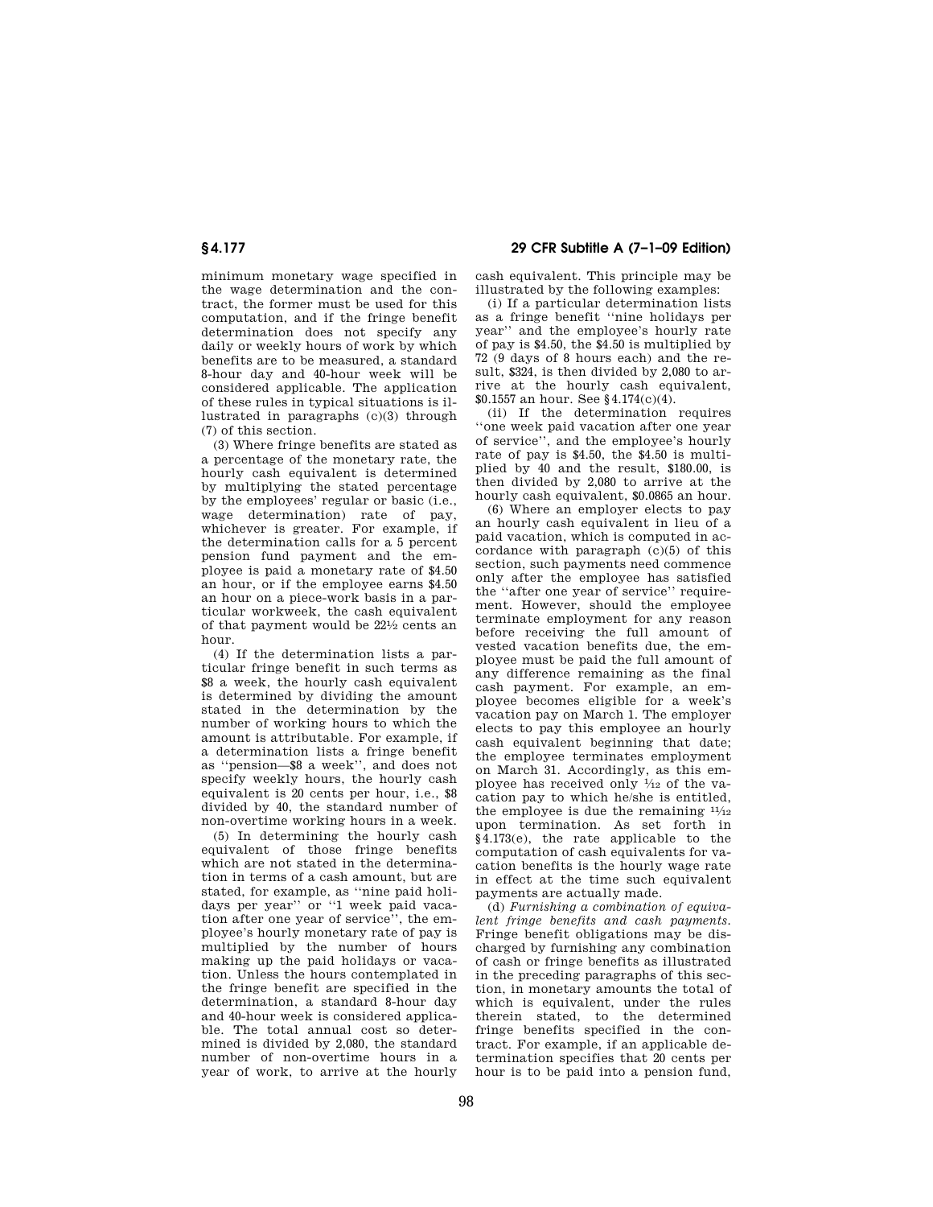minimum monetary wage specified in the wage determination and the contract, the former must be used for this computation, and if the fringe benefit determination does not specify any daily or weekly hours of work by which benefits are to be measured, a standard 8-hour day and 40-hour week will be considered applicable. The application of these rules in typical situations is illustrated in paragraphs (c)(3) through (7) of this section.

(3) Where fringe benefits are stated as a percentage of the monetary rate, the hourly cash equivalent is determined by multiplying the stated percentage by the employees' regular or basic (i.e., wage determination) rate of pay, whichever is greater. For example, if the determination calls for a 5 percent pension fund payment and the employee is paid a monetary rate of \$4.50 an hour, or if the employee earns \$4.50 an hour on a piece-work basis in a particular workweek, the cash equivalent of that payment would be 221⁄2 cents an hour.

(4) If the determination lists a particular fringe benefit in such terms as \$8 a week, the hourly cash equivalent is determined by dividing the amount stated in the determination by the number of working hours to which the amount is attributable. For example, if a determination lists a fringe benefit as ''pension—\$8 a week'', and does not specify weekly hours, the hourly cash equivalent is 20 cents per hour, i.e., \$8 divided by 40, the standard number of non-overtime working hours in a week.

(5) In determining the hourly cash equivalent of those fringe benefits which are not stated in the determination in terms of a cash amount, but are stated, for example, as ''nine paid holidays per year'' or ''1 week paid vacation after one year of service'', the employee's hourly monetary rate of pay is multiplied by the number of hours making up the paid holidays or vacation. Unless the hours contemplated in the fringe benefit are specified in the determination, a standard 8-hour day and 40-hour week is considered applicable. The total annual cost so determined is divided by 2,080, the standard number of non-overtime hours in a year of work, to arrive at the hourly

**§ 4.177 29 CFR Subtitle A (7–1–09 Edition)** 

cash equivalent. This principle may be illustrated by the following examples:

(i) If a particular determination lists as a fringe benefit ''nine holidays per year'' and the employee's hourly rate of pay is \$4.50, the \$4.50 is multiplied by 72 (9 days of 8 hours each) and the result, \$324, is then divided by 2,080 to arrive at the hourly cash equivalent, \$0.1557 an hour. See §4.174(c)(4).

(ii) If the determination requires ''one week paid vacation after one year of service'', and the employee's hourly rate of pay is \$4.50, the \$4.50 is multiplied by 40 and the result, \$180.00, is then divided by 2,080 to arrive at the hourly cash equivalent, \$0.0865 an hour.

(6) Where an employer elects to pay an hourly cash equivalent in lieu of a paid vacation, which is computed in accordance with paragraph  $(c)(5)$  of this section, such payments need commence only after the employee has satisfied the ''after one year of service'' requirement. However, should the employee terminate employment for any reason before receiving the full amount of vested vacation benefits due, the employee must be paid the full amount of any difference remaining as the final cash payment. For example, an employee becomes eligible for a week's vacation pay on March 1. The employer elects to pay this employee an hourly cash equivalent beginning that date; the employee terminates employment on March 31. Accordingly, as this employee has received only  $\frac{1}{12}$  of the vacation pay to which he/she is entitled, the employee is due the remaining  $\frac{11}{12}$ upon termination. As set forth in §4.173(e), the rate applicable to the computation of cash equivalents for vacation benefits is the hourly wage rate in effect at the time such equivalent payments are actually made.

(d) *Furnishing a combination of equivalent fringe benefits and cash payments.*  Fringe benefit obligations may be discharged by furnishing any combination of cash or fringe benefits as illustrated in the preceding paragraphs of this section, in monetary amounts the total of which is equivalent, under the rules therein stated, to the determined fringe benefits specified in the contract. For example, if an applicable determination specifies that 20 cents per hour is to be paid into a pension fund,